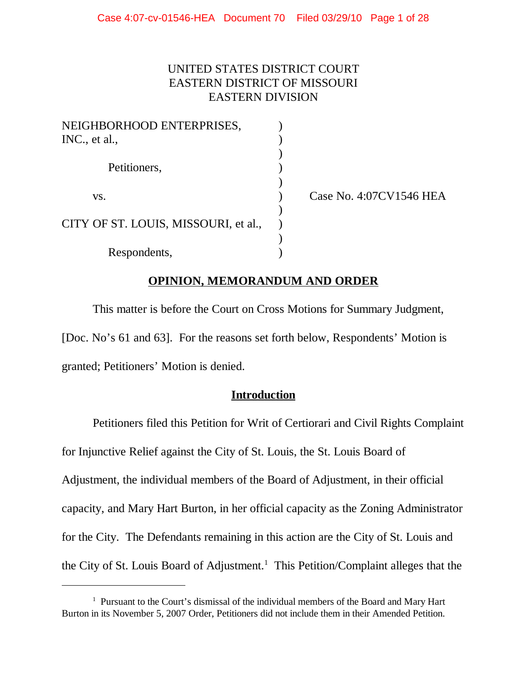# UNITED STATES DISTRICT COURT EASTERN DISTRICT OF MISSOURI EASTERN DIVISION

| NEIGHBORHOOD ENTERPRISES,            |  |
|--------------------------------------|--|
| INC., et al.,                        |  |
|                                      |  |
| Petitioners,                         |  |
|                                      |  |
| VS.                                  |  |
|                                      |  |
| CITY OF ST. LOUIS, MISSOURI, et al., |  |
|                                      |  |
| Respondents,                         |  |

Case No. 4:07CV1546 HEA

# **OPINION, MEMORANDUM AND ORDER**

This matter is before the Court on Cross Motions for Summary Judgment, [Doc. No's 61 and 63]. For the reasons set forth below, Respondents' Motion is granted; Petitioners' Motion is denied.

# **Introduction**

Petitioners filed this Petition for Writ of Certiorari and Civil Rights Complaint for Injunctive Relief against the City of St. Louis, the St. Louis Board of Adjustment, the individual members of the Board of Adjustment, in their official capacity, and Mary Hart Burton, in her official capacity as the Zoning Administrator for the City. The Defendants remaining in this action are the City of St. Louis and the City of St. Louis Board of Adjustment.<sup>1</sup> This Petition/Complaint alleges that the

<sup>&</sup>lt;sup>1</sup> Pursuant to the Court's dismissal of the individual members of the Board and Mary Hart Burton in its November 5, 2007 Order, Petitioners did not include them in their Amended Petition.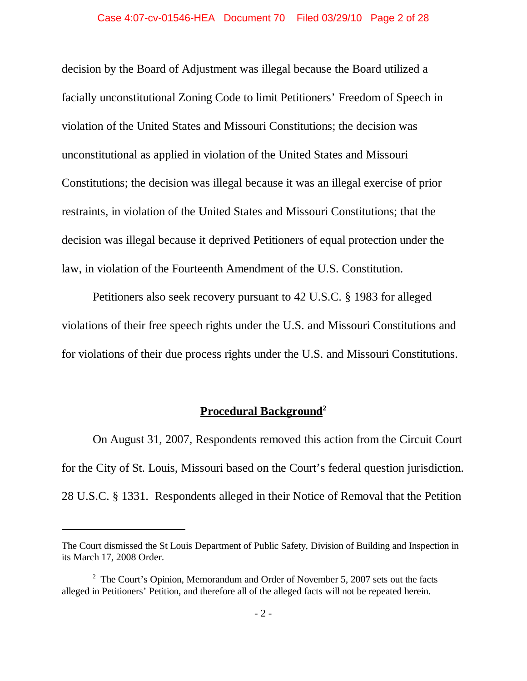decision by the Board of Adjustment was illegal because the Board utilized a facially unconstitutional Zoning Code to limit Petitioners' Freedom of Speech in violation of the United States and Missouri Constitutions; the decision was unconstitutional as applied in violation of the United States and Missouri Constitutions; the decision was illegal because it was an illegal exercise of prior restraints, in violation of the United States and Missouri Constitutions; that the decision was illegal because it deprived Petitioners of equal protection under the law, in violation of the Fourteenth Amendment of the U.S. Constitution.

Petitioners also seek recovery pursuant to 42 U.S.C. § 1983 for alleged violations of their free speech rights under the U.S. and Missouri Constitutions and for violations of their due process rights under the U.S. and Missouri Constitutions.

# **Procedural Background<sup>2</sup>**

On August 31, 2007, Respondents removed this action from the Circuit Court for the City of St. Louis, Missouri based on the Court's federal question jurisdiction. 28 U.S.C. § 1331. Respondents alleged in their Notice of Removal that the Petition

The Court dismissed the St Louis Department of Public Safety, Division of Building and Inspection in its March 17, 2008 Order.

 $2^2$  The Court's Opinion, Memorandum and Order of November 5, 2007 sets out the facts alleged in Petitioners' Petition, and therefore all of the alleged facts will not be repeated herein.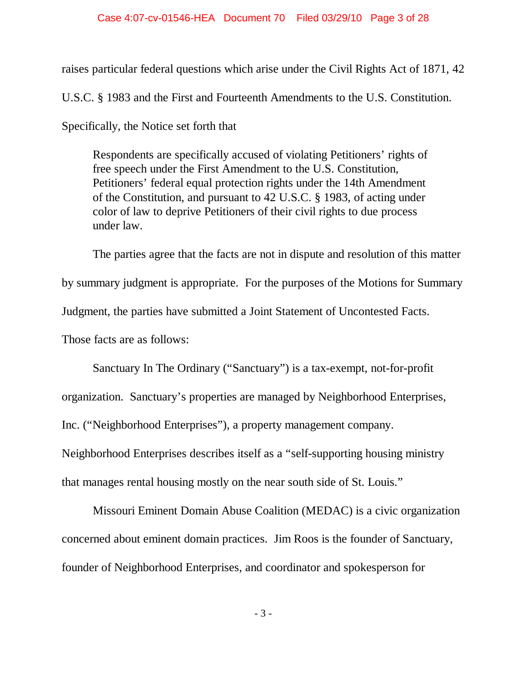## Case 4:07-cv-01546-HEA Document 70 Filed 03/29/10 Page 3 of 28

raises particular federal questions which arise under the Civil Rights Act of 1871, 42

U.S.C. § 1983 and the First and Fourteenth Amendments to the U.S. Constitution.

Specifically, the Notice set forth that

Respondents are specifically accused of violating Petitioners' rights of free speech under the First Amendment to the U.S. Constitution, Petitioners' federal equal protection rights under the 14th Amendment of the Constitution, and pursuant to 42 U.S.C. § 1983, of acting under color of law to deprive Petitioners of their civil rights to due process under law.

The parties agree that the facts are not in dispute and resolution of this matter by summary judgment is appropriate. For the purposes of the Motions for Summary Judgment, the parties have submitted a Joint Statement of Uncontested Facts. Those facts are as follows:

Sanctuary In The Ordinary ("Sanctuary") is a tax-exempt, not-for-profit organization. Sanctuary's properties are managed by Neighborhood Enterprises, Inc. ("Neighborhood Enterprises"), a property management company. Neighborhood Enterprises describes itself as a "self-supporting housing ministry that manages rental housing mostly on the near south side of St. Louis."

Missouri Eminent Domain Abuse Coalition (MEDAC) is a civic organization concerned about eminent domain practices. Jim Roos is the founder of Sanctuary, founder of Neighborhood Enterprises, and coordinator and spokesperson for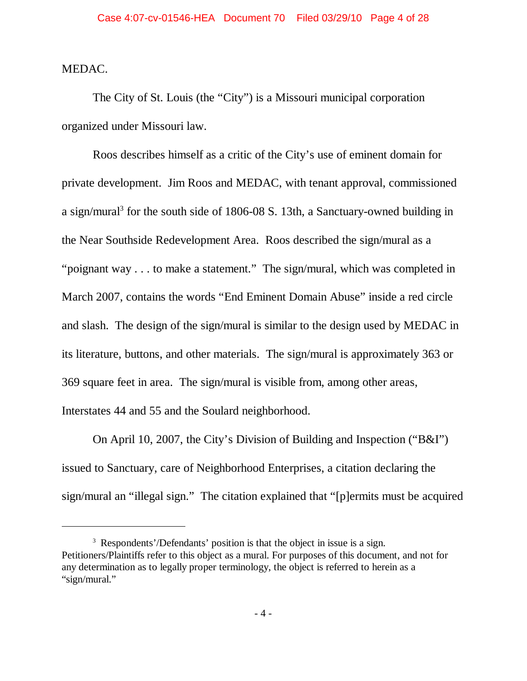MEDAC.

The City of St. Louis (the "City") is a Missouri municipal corporation organized under Missouri law.

Roos describes himself as a critic of the City's use of eminent domain for private development. Jim Roos and MEDAC, with tenant approval, commissioned a sign/mural<sup>3</sup> for the south side of 1806-08 S. 13th, a Sanctuary-owned building in the Near Southside Redevelopment Area. Roos described the sign/mural as a "poignant way . . . to make a statement." The sign/mural, which was completed in March 2007, contains the words "End Eminent Domain Abuse" inside a red circle and slash. The design of the sign/mural is similar to the design used by MEDAC in its literature, buttons, and other materials. The sign/mural is approximately 363 or 369 square feet in area. The sign/mural is visible from, among other areas, Interstates 44 and 55 and the Soulard neighborhood.

On April 10, 2007, the City's Division of Building and Inspection ("B&I") issued to Sanctuary, care of Neighborhood Enterprises, a citation declaring the sign/mural an "illegal sign." The citation explained that "[p]ermits must be acquired

<sup>&</sup>lt;sup>3</sup> Respondents'/Defendants' position is that the object in issue is a sign. Petitioners/Plaintiffs refer to this object as a mural. For purposes of this document, and not for any determination as to legally proper terminology, the object is referred to herein as a "sign/mural."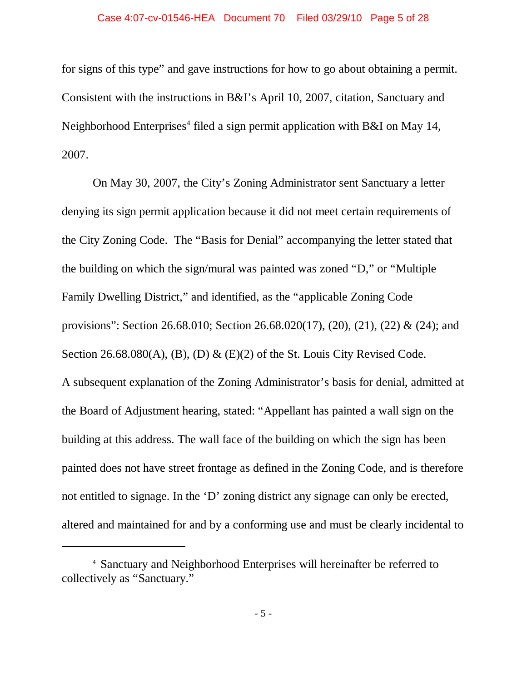### Case 4:07-cv-01546-HEA Document 70 Filed 03/29/10 Page 5 of 28

for signs of this type" and gave instructions for how to go about obtaining a permit. Consistent with the instructions in B&I's April 10, 2007, citation, Sanctuary and Neighborhood Enterprises<sup>4</sup> filed a sign permit application with B&I on May 14, 2007.

On May 30, 2007, the City's Zoning Administrator sent Sanctuary a letter denying its sign permit application because it did not meet certain requirements of the City Zoning Code. The "Basis for Denial" accompanying the letter stated that the building on which the sign/mural was painted was zoned "D," or "Multiple Family Dwelling District," and identified, as the "applicable Zoning Code provisions": Section 26.68.010; Section 26.68.020(17), (20), (21), (22) & (24); and Section 26.68.080(A), (B), (D) & (E)(2) of the St. Louis City Revised Code. A subsequent explanation of the Zoning Administrator's basis for denial, admitted at the Board of Adjustment hearing, stated: "Appellant has painted a wall sign on the building at this address. The wall face of the building on which the sign has been painted does not have street frontage as defined in the Zoning Code, and is therefore not entitled to signage. In the 'D' zoning district any signage can only be erected, altered and maintained for and by a conforming use and must be clearly incidental to

<sup>4</sup> Sanctuary and Neighborhood Enterprises will hereinafter be referred to collectively as "Sanctuary."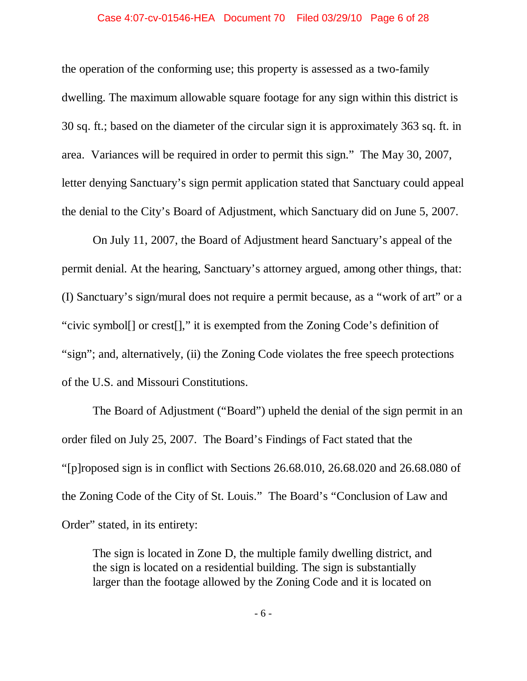### Case 4:07-cv-01546-HEA Document 70 Filed 03/29/10 Page 6 of 28

the operation of the conforming use; this property is assessed as a two-family dwelling. The maximum allowable square footage for any sign within this district is 30 sq. ft.; based on the diameter of the circular sign it is approximately 363 sq. ft. in area. Variances will be required in order to permit this sign." The May 30, 2007, letter denying Sanctuary's sign permit application stated that Sanctuary could appeal the denial to the City's Board of Adjustment, which Sanctuary did on June 5, 2007.

On July 11, 2007, the Board of Adjustment heard Sanctuary's appeal of the permit denial. At the hearing, Sanctuary's attorney argued, among other things, that: (I) Sanctuary's sign/mural does not require a permit because, as a "work of art" or a "civic symbol[] or crest[]," it is exempted from the Zoning Code's definition of "sign"; and, alternatively, (ii) the Zoning Code violates the free speech protections of the U.S. and Missouri Constitutions.

The Board of Adjustment ("Board") upheld the denial of the sign permit in an order filed on July 25, 2007. The Board's Findings of Fact stated that the "[p]roposed sign is in conflict with Sections 26.68.010, 26.68.020 and 26.68.080 of the Zoning Code of the City of St. Louis." The Board's "Conclusion of Law and Order" stated, in its entirety:

The sign is located in Zone D, the multiple family dwelling district, and the sign is located on a residential building. The sign is substantially larger than the footage allowed by the Zoning Code and it is located on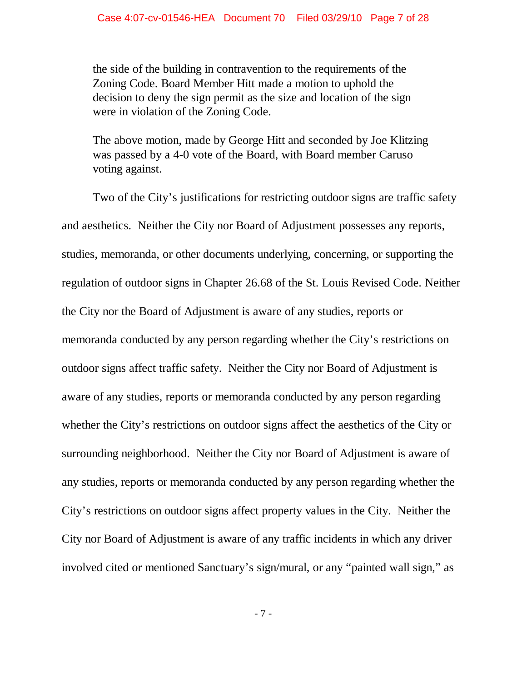the side of the building in contravention to the requirements of the Zoning Code. Board Member Hitt made a motion to uphold the decision to deny the sign permit as the size and location of the sign were in violation of the Zoning Code.

The above motion, made by George Hitt and seconded by Joe Klitzing was passed by a 4-0 vote of the Board, with Board member Caruso voting against.

Two of the City's justifications for restricting outdoor signs are traffic safety and aesthetics. Neither the City nor Board of Adjustment possesses any reports, studies, memoranda, or other documents underlying, concerning, or supporting the regulation of outdoor signs in Chapter 26.68 of the St. Louis Revised Code. Neither the City nor the Board of Adjustment is aware of any studies, reports or memoranda conducted by any person regarding whether the City's restrictions on outdoor signs affect traffic safety. Neither the City nor Board of Adjustment is aware of any studies, reports or memoranda conducted by any person regarding whether the City's restrictions on outdoor signs affect the aesthetics of the City or surrounding neighborhood. Neither the City nor Board of Adjustment is aware of any studies, reports or memoranda conducted by any person regarding whether the City's restrictions on outdoor signs affect property values in the City. Neither the City nor Board of Adjustment is aware of any traffic incidents in which any driver involved cited or mentioned Sanctuary's sign/mural, or any "painted wall sign," as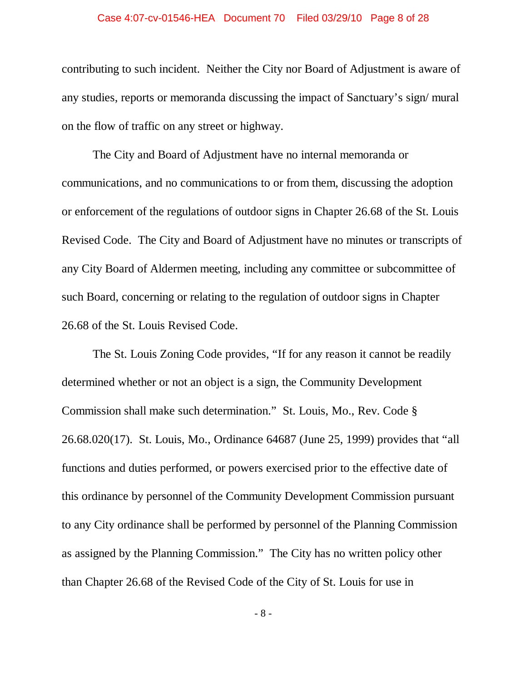### Case 4:07-cv-01546-HEA Document 70 Filed 03/29/10 Page 8 of 28

contributing to such incident. Neither the City nor Board of Adjustment is aware of any studies, reports or memoranda discussing the impact of Sanctuary's sign/ mural on the flow of traffic on any street or highway.

The City and Board of Adjustment have no internal memoranda or communications, and no communications to or from them, discussing the adoption or enforcement of the regulations of outdoor signs in Chapter 26.68 of the St. Louis Revised Code. The City and Board of Adjustment have no minutes or transcripts of any City Board of Aldermen meeting, including any committee or subcommittee of such Board, concerning or relating to the regulation of outdoor signs in Chapter 26.68 of the St. Louis Revised Code.

The St. Louis Zoning Code provides, "If for any reason it cannot be readily determined whether or not an object is a sign, the Community Development Commission shall make such determination." St. Louis, Mo., Rev. Code § 26.68.020(17). St. Louis, Mo., Ordinance 64687 (June 25, 1999) provides that "all functions and duties performed, or powers exercised prior to the effective date of this ordinance by personnel of the Community Development Commission pursuant to any City ordinance shall be performed by personnel of the Planning Commission as assigned by the Planning Commission." The City has no written policy other than Chapter 26.68 of the Revised Code of the City of St. Louis for use in

- 8 -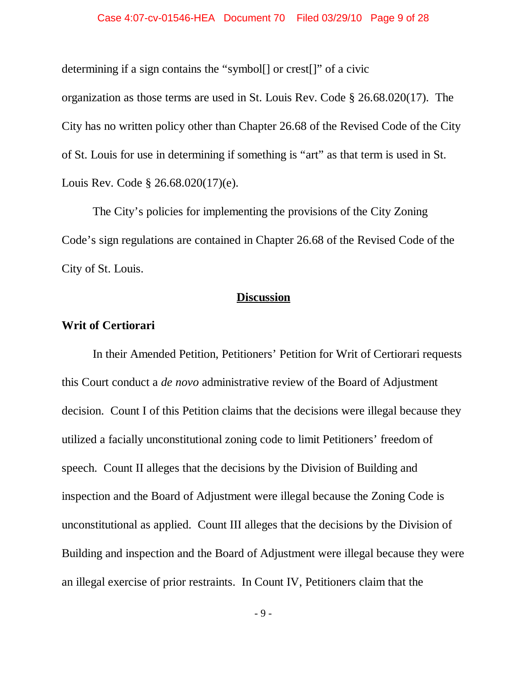determining if a sign contains the "symbol[] or crest[]" of a civic organization as those terms are used in St. Louis Rev. Code § 26.68.020(17). The City has no written policy other than Chapter 26.68 of the Revised Code of the City of St. Louis for use in determining if something is "art" as that term is used in St. Louis Rev. Code § 26.68.020(17)(e).

The City's policies for implementing the provisions of the City Zoning Code's sign regulations are contained in Chapter 26.68 of the Revised Code of the City of St. Louis.

## **Discussion**

## **Writ of Certiorari**

In their Amended Petition, Petitioners' Petition for Writ of Certiorari requests this Court conduct a *de novo* administrative review of the Board of Adjustment decision. Count I of this Petition claims that the decisions were illegal because they utilized a facially unconstitutional zoning code to limit Petitioners' freedom of speech. Count II alleges that the decisions by the Division of Building and inspection and the Board of Adjustment were illegal because the Zoning Code is unconstitutional as applied. Count III alleges that the decisions by the Division of Building and inspection and the Board of Adjustment were illegal because they were an illegal exercise of prior restraints. In Count IV, Petitioners claim that the

- 9 -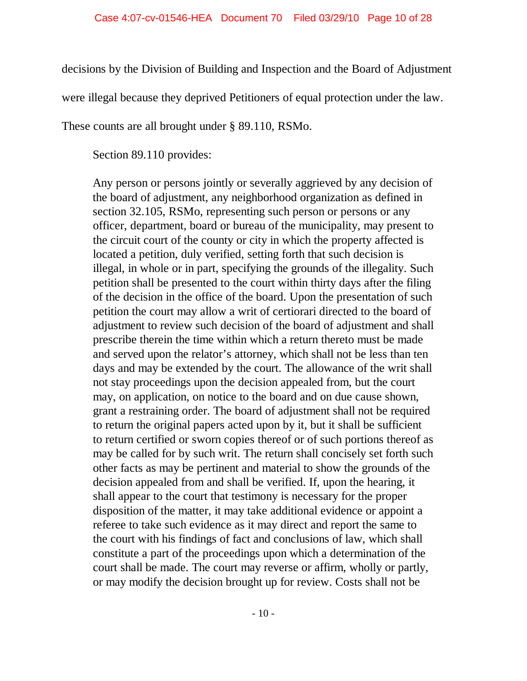decisions by the Division of Building and Inspection and the Board of Adjustment

were illegal because they deprived Petitioners of equal protection under the law.

These counts are all brought under § 89.110, RSMo.

Section 89.110 provides:

Any person or persons jointly or severally aggrieved by any decision of the board of adjustment, any neighborhood organization as defined in section 32.105, RSMo, representing such person or persons or any officer, department, board or bureau of the municipality, may present to the circuit court of the county or city in which the property affected is located a petition, duly verified, setting forth that such decision is illegal, in whole or in part, specifying the grounds of the illegality. Such petition shall be presented to the court within thirty days after the filing of the decision in the office of the board. Upon the presentation of such petition the court may allow a writ of certiorari directed to the board of adjustment to review such decision of the board of adjustment and shall prescribe therein the time within which a return thereto must be made and served upon the relator's attorney, which shall not be less than ten days and may be extended by the court. The allowance of the writ shall not stay proceedings upon the decision appealed from, but the court may, on application, on notice to the board and on due cause shown, grant a restraining order. The board of adjustment shall not be required to return the original papers acted upon by it, but it shall be sufficient to return certified or sworn copies thereof or of such portions thereof as may be called for by such writ. The return shall concisely set forth such other facts as may be pertinent and material to show the grounds of the decision appealed from and shall be verified. If, upon the hearing, it shall appear to the court that testimony is necessary for the proper disposition of the matter, it may take additional evidence or appoint a referee to take such evidence as it may direct and report the same to the court with his findings of fact and conclusions of law, which shall constitute a part of the proceedings upon which a determination of the court shall be made. The court may reverse or affirm, wholly or partly, or may modify the decision brought up for review. Costs shall not be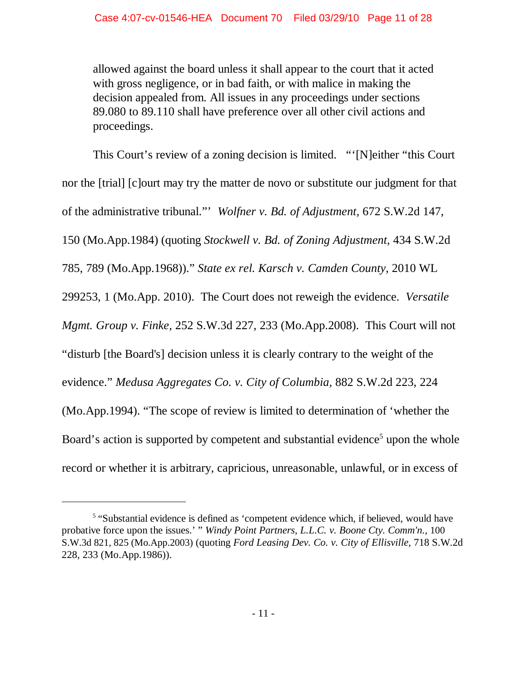allowed against the board unless it shall appear to the court that it acted with gross negligence, or in bad faith, or with malice in making the decision appealed from. All issues in any proceedings under sections 89.080 to 89.110 shall have preference over all other civil actions and proceedings.

This Court's review of a zoning decision is limited. "'[N]either "this Court nor the [trial] [c]ourt may try the matter de novo or substitute our judgment for that of the administrative tribunal."' *Wolfner v. Bd. of Adjustment,* 672 S.W.2d 147, 150 (Mo.App.1984) (quoting *Stockwell v. Bd. of Zoning Adjustment,* 434 S.W.2d 785, 789 (Mo.App.1968))." *State ex rel. Karsch v. Camden County,* 2010 WL 299253, 1 (Mo.App. 2010). The Court does not reweigh the evidence. *Versatile Mgmt. Group v. Finke,* 252 S.W.3d 227, 233 (Mo.App.2008). This Court will not "disturb [the Board's] decision unless it is clearly contrary to the weight of the evidence." *Medusa Aggregates Co. v. City of Columbia,* 882 S.W.2d 223, 224 (Mo.App.1994). "The scope of review is limited to determination of 'whether the Board's action is supported by competent and substantial evidence<sup>5</sup> upon the whole record or whether it is arbitrary, capricious, unreasonable, unlawful, or in excess of

<sup>&</sup>lt;sup>5</sup> "Substantial evidence is defined as 'competent evidence which, if believed, would have probative force upon the issues.' " *Windy Point Partners, L.L.C. v. Boone Cty. Comm'n.,* 100 S.W.3d 821, 825 (Mo.App.2003) (quoting *Ford Leasing Dev. Co. v. City of Ellisville,* 718 S.W.2d 228, 233 (Mo.App.1986)).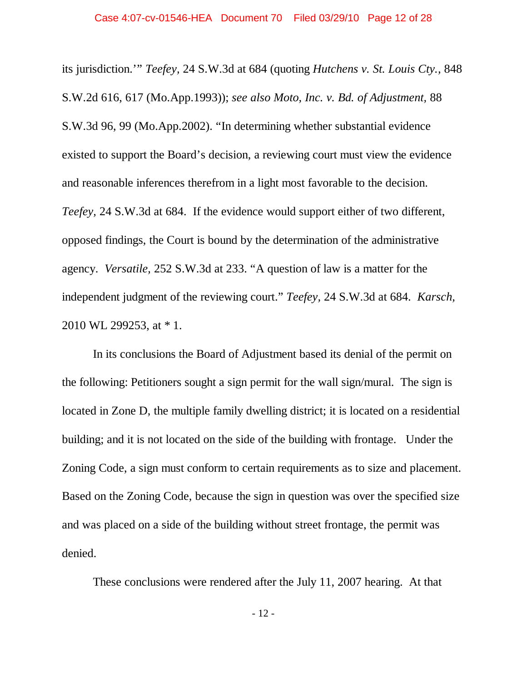its jurisdiction.'" *Teefey,* 24 S.W.3d at 684 (quoting *Hutchens v. St. Louis Cty.,* 848 S.W.2d 616, 617 (Mo.App.1993)); *see also Moto, Inc. v. Bd. of Adjustment,* 88 S.W.3d 96, 99 (Mo.App.2002). "In determining whether substantial evidence existed to support the Board's decision, a reviewing court must view the evidence and reasonable inferences therefrom in a light most favorable to the decision. *Teefey,* 24 S.W.3d at 684. If the evidence would support either of two different, opposed findings, the Court is bound by the determination of the administrative agency. *Versatile,* 252 S.W.3d at 233. "A question of law is a matter for the independent judgment of the reviewing court." *Teefey,* 24 S.W.3d at 684. *Karsch,* 2010 WL 299253, at \* 1.

In its conclusions the Board of Adjustment based its denial of the permit on the following: Petitioners sought a sign permit for the wall sign/mural. The sign is located in Zone D, the multiple family dwelling district; it is located on a residential building; and it is not located on the side of the building with frontage. Under the Zoning Code, a sign must conform to certain requirements as to size and placement. Based on the Zoning Code, because the sign in question was over the specified size and was placed on a side of the building without street frontage, the permit was denied.

These conclusions were rendered after the July 11, 2007 hearing. At that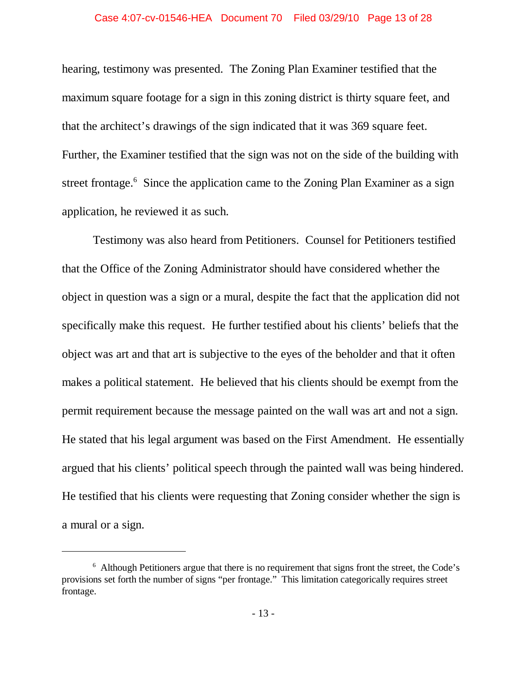### Case 4:07-cv-01546-HEA Document 70 Filed 03/29/10 Page 13 of 28

hearing, testimony was presented. The Zoning Plan Examiner testified that the maximum square footage for a sign in this zoning district is thirty square feet, and that the architect's drawings of the sign indicated that it was 369 square feet. Further, the Examiner testified that the sign was not on the side of the building with street frontage.<sup>6</sup> Since the application came to the Zoning Plan Examiner as a sign application, he reviewed it as such.

Testimony was also heard from Petitioners. Counsel for Petitioners testified that the Office of the Zoning Administrator should have considered whether the object in question was a sign or a mural, despite the fact that the application did not specifically make this request. He further testified about his clients' beliefs that the object was art and that art is subjective to the eyes of the beholder and that it often makes a political statement. He believed that his clients should be exempt from the permit requirement because the message painted on the wall was art and not a sign. He stated that his legal argument was based on the First Amendment. He essentially argued that his clients' political speech through the painted wall was being hindered. He testified that his clients were requesting that Zoning consider whether the sign is a mural or a sign.

<sup>&</sup>lt;sup>6</sup> Although Petitioners argue that there is no requirement that signs front the street, the Code's provisions set forth the number of signs "per frontage." This limitation categorically requires street frontage.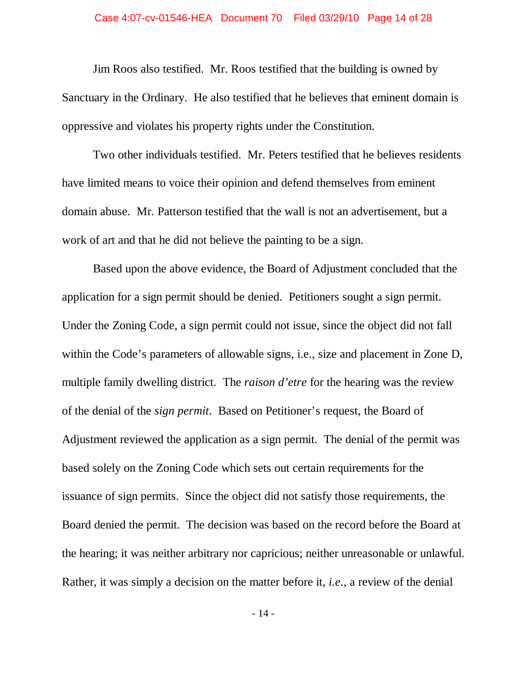### Case 4:07-cv-01546-HEA Document 70 Filed 03/29/10 Page 14 of 28

Jim Roos also testified. Mr. Roos testified that the building is owned by Sanctuary in the Ordinary. He also testified that he believes that eminent domain is oppressive and violates his property rights under the Constitution.

Two other individuals testified. Mr. Peters testified that he believes residents have limited means to voice their opinion and defend themselves from eminent domain abuse. Mr. Patterson testified that the wall is not an advertisement, but a work of art and that he did not believe the painting to be a sign.

Based upon the above evidence, the Board of Adjustment concluded that the application for a sign permit should be denied. Petitioners sought a sign permit. Under the Zoning Code, a sign permit could not issue, since the object did not fall within the Code's parameters of allowable signs, i.e., size and placement in Zone D, multiple family dwelling district. The *raison d'etre* for the hearing was the review of the denial of the *sign permit*. Based on Petitioner's request, the Board of Adjustment reviewed the application as a sign permit. The denial of the permit was based solely on the Zoning Code which sets out certain requirements for the issuance of sign permits. Since the object did not satisfy those requirements, the Board denied the permit. The decision was based on the record before the Board at the hearing; it was neither arbitrary nor capricious; neither unreasonable or unlawful. Rather, it was simply a decision on the matter before it, *i.e.*, a review of the denial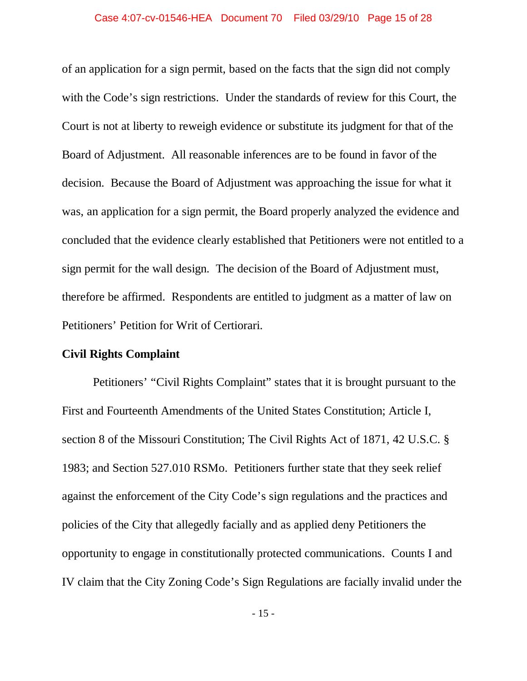### Case 4:07-cv-01546-HEA Document 70 Filed 03/29/10 Page 15 of 28

of an application for a sign permit, based on the facts that the sign did not comply with the Code's sign restrictions. Under the standards of review for this Court, the Court is not at liberty to reweigh evidence or substitute its judgment for that of the Board of Adjustment. All reasonable inferences are to be found in favor of the decision. Because the Board of Adjustment was approaching the issue for what it was, an application for a sign permit, the Board properly analyzed the evidence and concluded that the evidence clearly established that Petitioners were not entitled to a sign permit for the wall design. The decision of the Board of Adjustment must, therefore be affirmed. Respondents are entitled to judgment as a matter of law on Petitioners' Petition for Writ of Certiorari.

### **Civil Rights Complaint**

Petitioners' "Civil Rights Complaint" states that it is brought pursuant to the First and Fourteenth Amendments of the United States Constitution; Article I, section 8 of the Missouri Constitution; The Civil Rights Act of 1871, 42 U.S.C. § 1983; and Section 527.010 RSMo. Petitioners further state that they seek relief against the enforcement of the City Code's sign regulations and the practices and policies of the City that allegedly facially and as applied deny Petitioners the opportunity to engage in constitutionally protected communications. Counts I and IV claim that the City Zoning Code's Sign Regulations are facially invalid under the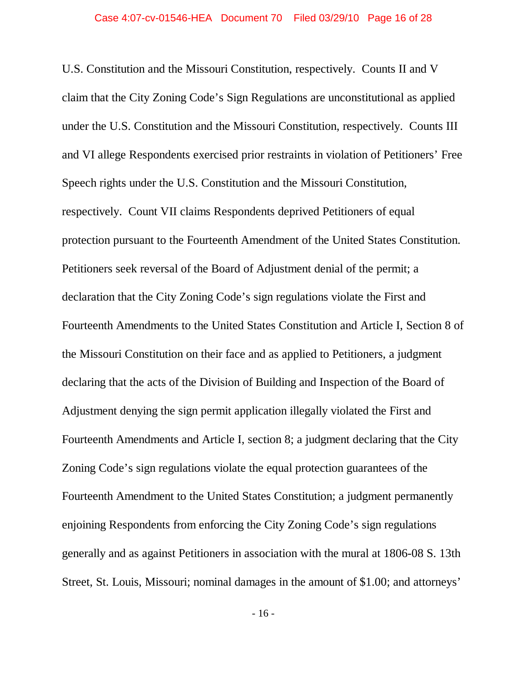U.S. Constitution and the Missouri Constitution, respectively. Counts II and V claim that the City Zoning Code's Sign Regulations are unconstitutional as applied under the U.S. Constitution and the Missouri Constitution, respectively. Counts III and VI allege Respondents exercised prior restraints in violation of Petitioners' Free Speech rights under the U.S. Constitution and the Missouri Constitution, respectively. Count VII claims Respondents deprived Petitioners of equal protection pursuant to the Fourteenth Amendment of the United States Constitution. Petitioners seek reversal of the Board of Adjustment denial of the permit; a declaration that the City Zoning Code's sign regulations violate the First and Fourteenth Amendments to the United States Constitution and Article I, Section 8 of the Missouri Constitution on their face and as applied to Petitioners, a judgment declaring that the acts of the Division of Building and Inspection of the Board of Adjustment denying the sign permit application illegally violated the First and Fourteenth Amendments and Article I, section 8; a judgment declaring that the City Zoning Code's sign regulations violate the equal protection guarantees of the Fourteenth Amendment to the United States Constitution; a judgment permanently enjoining Respondents from enforcing the City Zoning Code's sign regulations generally and as against Petitioners in association with the mural at 1806-08 S. 13th Street, St. Louis, Missouri; nominal damages in the amount of \$1.00; and attorneys'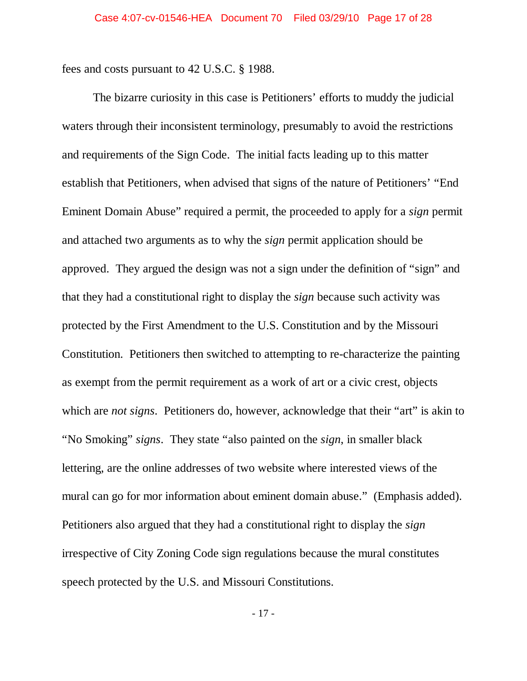fees and costs pursuant to 42 U.S.C. § 1988.

The bizarre curiosity in this case is Petitioners' efforts to muddy the judicial waters through their inconsistent terminology, presumably to avoid the restrictions and requirements of the Sign Code. The initial facts leading up to this matter establish that Petitioners, when advised that signs of the nature of Petitioners' "End Eminent Domain Abuse" required a permit, the proceeded to apply for a *sign* permit and attached two arguments as to why the *sign* permit application should be approved. They argued the design was not a sign under the definition of "sign" and that they had a constitutional right to display the *sign* because such activity was protected by the First Amendment to the U.S. Constitution and by the Missouri Constitution. Petitioners then switched to attempting to re-characterize the painting as exempt from the permit requirement as a work of art or a civic crest, objects which are *not signs*. Petitioners do, however, acknowledge that their "art" is akin to "No Smoking" *signs*. They state "also painted on the *sign*, in smaller black lettering, are the online addresses of two website where interested views of the mural can go for mor information about eminent domain abuse." (Emphasis added). Petitioners also argued that they had a constitutional right to display the *sign* irrespective of City Zoning Code sign regulations because the mural constitutes speech protected by the U.S. and Missouri Constitutions.

- 17 -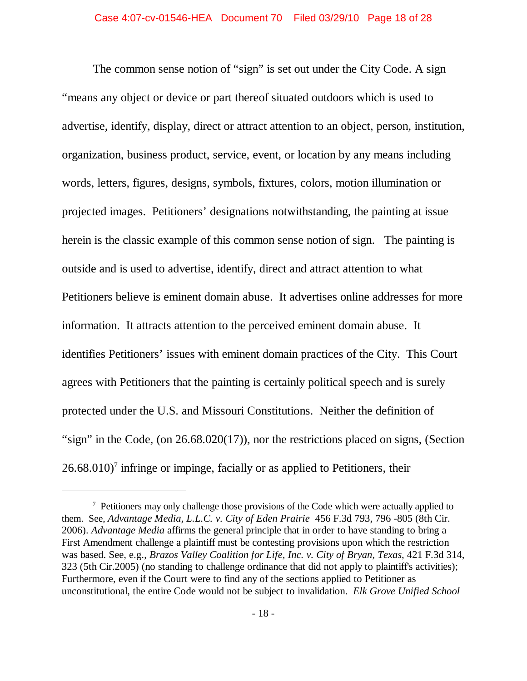The common sense notion of "sign" is set out under the City Code. A sign "means any object or device or part thereof situated outdoors which is used to advertise, identify, display, direct or attract attention to an object, person, institution, organization, business product, service, event, or location by any means including words, letters, figures, designs, symbols, fixtures, colors, motion illumination or projected images. Petitioners' designations notwithstanding, the painting at issue herein is the classic example of this common sense notion of sign. The painting is outside and is used to advertise, identify, direct and attract attention to what Petitioners believe is eminent domain abuse. It advertises online addresses for more information. It attracts attention to the perceived eminent domain abuse. It identifies Petitioners' issues with eminent domain practices of the City. This Court agrees with Petitioners that the painting is certainly political speech and is surely protected under the U.S. and Missouri Constitutions. Neither the definition of "sign" in the Code, (on 26.68.020(17)), nor the restrictions placed on signs, (Section  $26.68.010$ <sup>7</sup> infringe or impinge, facially or as applied to Petitioners, their

 $7$  Petitioners may only challenge those provisions of the Code which were actually applied to them. See, *Advantage Media, L.L.C. v. City of Eden Prairie* 456 F.3d 793, 796 -805 (8th Cir. 2006). *Advantage Media* affirms the general principle that in order to have standing to bring a First Amendment challenge a plaintiff must be contesting provisions upon which the restriction was based. See, e.g., *Brazos Valley Coalition for Life, Inc. v. City of Bryan, Texas*, 421 F.3d 314, 323 (5th Cir.2005) (no standing to challenge ordinance that did not apply to plaintiff's activities); Furthermore, even if the Court were to find any of the sections applied to Petitioner as unconstitutional, the entire Code would not be subject to invalidation. *Elk Grove Unified School*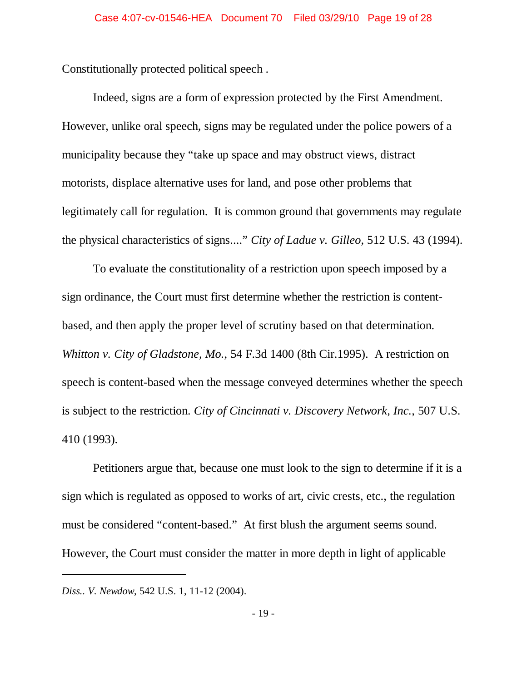Constitutionally protected political speech .

Indeed, signs are a form of expression protected by the First Amendment. However, unlike oral speech, signs may be regulated under the police powers of a municipality because they "take up space and may obstruct views, distract motorists, displace alternative uses for land, and pose other problems that legitimately call for regulation. It is common ground that governments may regulate the physical characteristics of signs...." *City of Ladue v. Gilleo*, 512 U.S. 43 (1994).

To evaluate the constitutionality of a restriction upon speech imposed by a sign ordinance, the Court must first determine whether the restriction is contentbased, and then apply the proper level of scrutiny based on that determination. *Whitton v. City of Gladstone, Mo.*, 54 F.3d 1400 (8th Cir.1995). A restriction on speech is content-based when the message conveyed determines whether the speech is subject to the restriction. *City of Cincinnati v. Discovery Network, Inc.*, 507 U.S. 410 (1993).

Petitioners argue that, because one must look to the sign to determine if it is a sign which is regulated as opposed to works of art, civic crests, etc., the regulation must be considered "content-based." At first blush the argument seems sound. However, the Court must consider the matter in more depth in light of applicable

*Diss.. V. Newdow*, 542 U.S. 1, 11-12 (2004).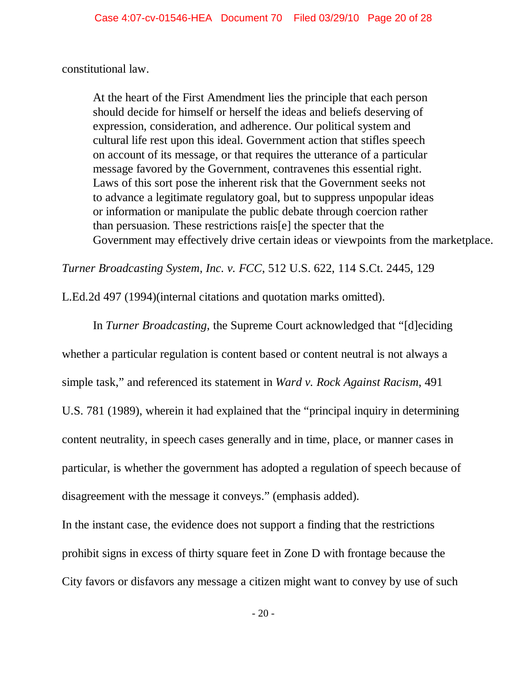constitutional law.

At the heart of the First Amendment lies the principle that each person should decide for himself or herself the ideas and beliefs deserving of expression, consideration, and adherence. Our political system and cultural life rest upon this ideal. Government action that stifles speech on account of its message, or that requires the utterance of a particular message favored by the Government, contravenes this essential right. Laws of this sort pose the inherent risk that the Government seeks not to advance a legitimate regulatory goal, but to suppress unpopular ideas or information or manipulate the public debate through coercion rather than persuasion. These restrictions rais[e] the specter that the Government may effectively drive certain ideas or viewpoints from the marketplace.

*Turner Broadcasting System, Inc. v. FCC*, 512 U.S. 622, 114 S.Ct. 2445, 129

L.Ed.2d 497 (1994)(internal citations and quotation marks omitted).

In *Turner Broadcasting*, the Supreme Court acknowledged that "[d]eciding whether a particular regulation is content based or content neutral is not always a simple task," and referenced its statement in *Ward v. Rock Against Racism*, 491 U.S. 781 (1989), wherein it had explained that the "principal inquiry in determining content neutrality, in speech cases generally and in time, place, or manner cases in particular, is whether the government has adopted a regulation of speech because of disagreement with the message it conveys." (emphasis added).

In the instant case, the evidence does not support a finding that the restrictions prohibit signs in excess of thirty square feet in Zone D with frontage because the City favors or disfavors any message a citizen might want to convey by use of such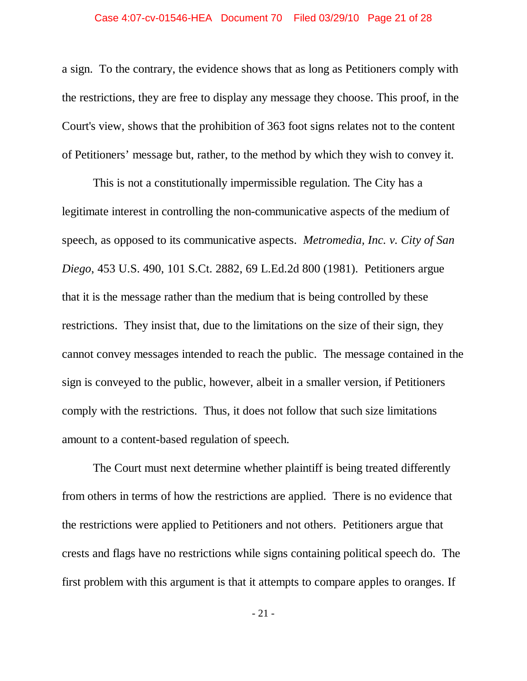a sign. To the contrary, the evidence shows that as long as Petitioners comply with the restrictions, they are free to display any message they choose. This proof, in the Court's view, shows that the prohibition of 363 foot signs relates not to the content of Petitioners' message but, rather, to the method by which they wish to convey it.

This is not a constitutionally impermissible regulation. The City has a legitimate interest in controlling the non-communicative aspects of the medium of speech, as opposed to its communicative aspects. *Metromedia, Inc. v. City of San Diego*, 453 U.S. 490, 101 S.Ct. 2882, 69 L.Ed.2d 800 (1981). Petitioners argue that it is the message rather than the medium that is being controlled by these restrictions. They insist that, due to the limitations on the size of their sign, they cannot convey messages intended to reach the public. The message contained in the sign is conveyed to the public, however, albeit in a smaller version, if Petitioners comply with the restrictions. Thus, it does not follow that such size limitations amount to a content-based regulation of speech.

The Court must next determine whether plaintiff is being treated differently from others in terms of how the restrictions are applied. There is no evidence that the restrictions were applied to Petitioners and not others. Petitioners argue that crests and flags have no restrictions while signs containing political speech do. The first problem with this argument is that it attempts to compare apples to oranges. If

- 21 -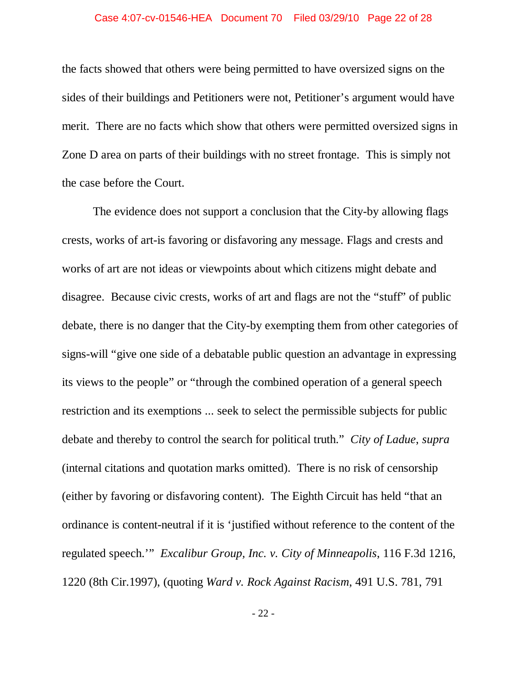### Case 4:07-cv-01546-HEA Document 70 Filed 03/29/10 Page 22 of 28

the facts showed that others were being permitted to have oversized signs on the sides of their buildings and Petitioners were not, Petitioner's argument would have merit. There are no facts which show that others were permitted oversized signs in Zone D area on parts of their buildings with no street frontage. This is simply not the case before the Court.

The evidence does not support a conclusion that the City-by allowing flags crests, works of art-is favoring or disfavoring any message. Flags and crests and works of art are not ideas or viewpoints about which citizens might debate and disagree. Because civic crests, works of art and flags are not the "stuff" of public debate, there is no danger that the City-by exempting them from other categories of signs-will "give one side of a debatable public question an advantage in expressing its views to the people" or "through the combined operation of a general speech restriction and its exemptions ... seek to select the permissible subjects for public debate and thereby to control the search for political truth." *City of Ladue*, *supra* (internal citations and quotation marks omitted). There is no risk of censorship (either by favoring or disfavoring content). The Eighth Circuit has held "that an ordinance is content-neutral if it is 'justified without reference to the content of the regulated speech.'" *Excalibur Group, Inc. v. City of Minneapolis*, 116 F.3d 1216, 1220 (8th Cir.1997), (quoting *Ward v. Rock Against Racism*, 491 U.S. 781, 791

- 22 -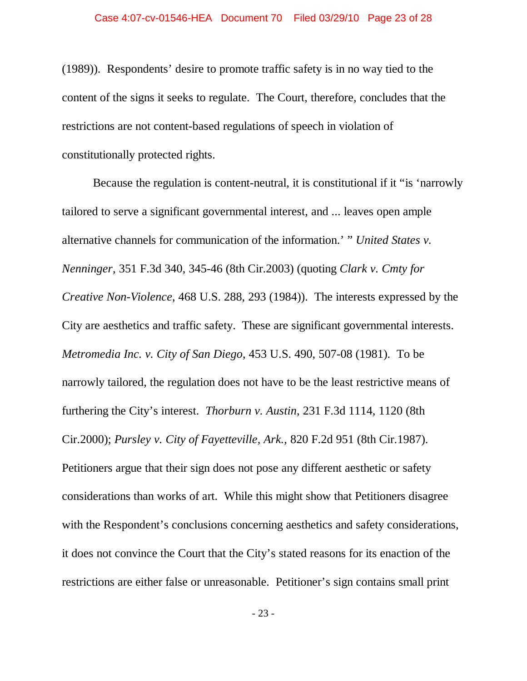(1989)). Respondents' desire to promote traffic safety is in no way tied to the content of the signs it seeks to regulate. The Court, therefore, concludes that the restrictions are not content-based regulations of speech in violation of constitutionally protected rights.

Because the regulation is content-neutral, it is constitutional if it "is 'narrowly tailored to serve a significant governmental interest, and ... leaves open ample alternative channels for communication of the information.' " *United States v. Nenninger*, 351 F.3d 340, 345-46 (8th Cir.2003) (quoting *Clark v. Cmty for Creative Non-Violence*, 468 U.S. 288, 293 (1984)). The interests expressed by the City are aesthetics and traffic safety. These are significant governmental interests. *Metromedia Inc. v. City of San Diego*, 453 U.S. 490, 507-08 (1981). To be narrowly tailored, the regulation does not have to be the least restrictive means of furthering the City's interest. *Thorburn v. Austin*, 231 F.3d 1114, 1120 (8th Cir.2000); *Pursley v. City of Fayetteville, Ark.*, 820 F.2d 951 (8th Cir.1987). Petitioners argue that their sign does not pose any different aesthetic or safety considerations than works of art. While this might show that Petitioners disagree with the Respondent's conclusions concerning aesthetics and safety considerations, it does not convince the Court that the City's stated reasons for its enaction of the restrictions are either false or unreasonable. Petitioner's sign contains small print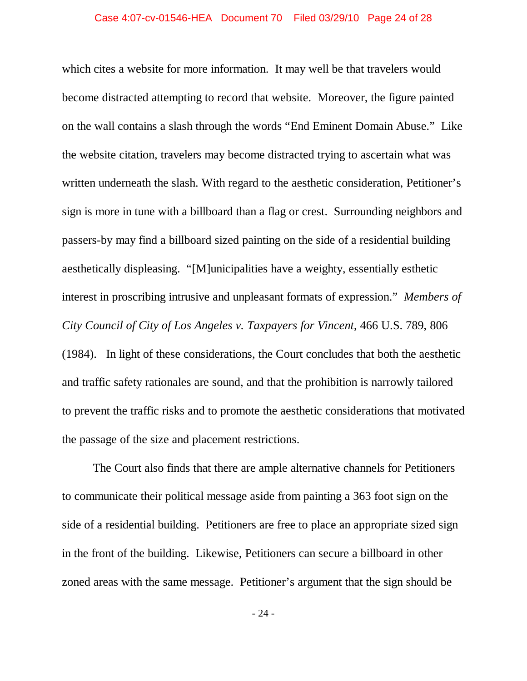which cites a website for more information. It may well be that travelers would become distracted attempting to record that website. Moreover, the figure painted on the wall contains a slash through the words "End Eminent Domain Abuse." Like the website citation, travelers may become distracted trying to ascertain what was written underneath the slash. With regard to the aesthetic consideration, Petitioner's sign is more in tune with a billboard than a flag or crest. Surrounding neighbors and passers-by may find a billboard sized painting on the side of a residential building aesthetically displeasing. "[M]unicipalities have a weighty, essentially esthetic interest in proscribing intrusive and unpleasant formats of expression." *Members of City Council of City of Los Angeles v. Taxpayers for Vincent*, 466 U.S. 789, 806 (1984). In light of these considerations, the Court concludes that both the aesthetic and traffic safety rationales are sound, and that the prohibition is narrowly tailored to prevent the traffic risks and to promote the aesthetic considerations that motivated the passage of the size and placement restrictions.

The Court also finds that there are ample alternative channels for Petitioners to communicate their political message aside from painting a 363 foot sign on the side of a residential building. Petitioners are free to place an appropriate sized sign in the front of the building. Likewise, Petitioners can secure a billboard in other zoned areas with the same message. Petitioner's argument that the sign should be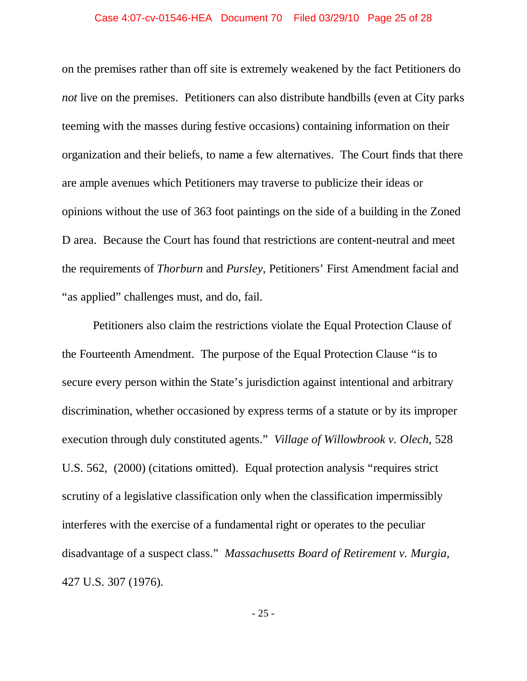### Case 4:07-cv-01546-HEA Document 70 Filed 03/29/10 Page 25 of 28

on the premises rather than off site is extremely weakened by the fact Petitioners do *not* live on the premises. Petitioners can also distribute handbills (even at City parks teeming with the masses during festive occasions) containing information on their organization and their beliefs, to name a few alternatives. The Court finds that there are ample avenues which Petitioners may traverse to publicize their ideas or opinions without the use of 363 foot paintings on the side of a building in the Zoned D area. Because the Court has found that restrictions are content-neutral and meet the requirements of *Thorburn* and *Pursley*, Petitioners' First Amendment facial and "as applied" challenges must, and do, fail.

Petitioners also claim the restrictions violate the Equal Protection Clause of the Fourteenth Amendment. The purpose of the Equal Protection Clause "is to secure every person within the State's jurisdiction against intentional and arbitrary discrimination, whether occasioned by express terms of a statute or by its improper execution through duly constituted agents." *Village of Willowbrook v. Olech*, 528 U.S. 562, (2000) (citations omitted). Equal protection analysis "requires strict scrutiny of a legislative classification only when the classification impermissibly interferes with the exercise of a fundamental right or operates to the peculiar disadvantage of a suspect class." *Massachusetts Board of Retirement v. Murgia*, 427 U.S. 307 (1976).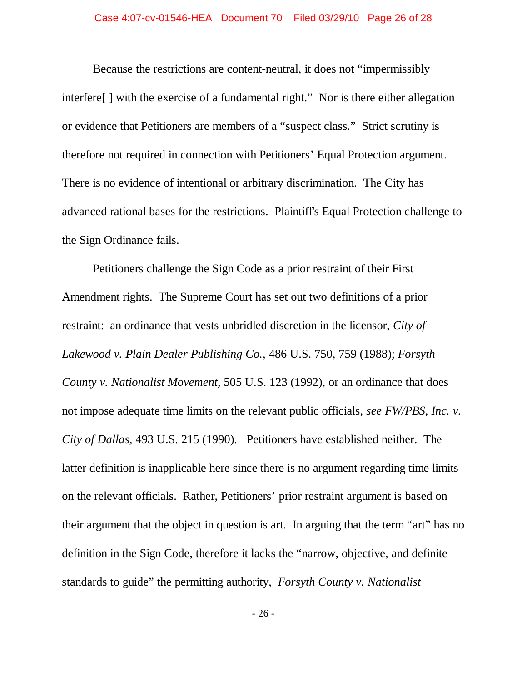Because the restrictions are content-neutral, it does not "impermissibly interfere[ ] with the exercise of a fundamental right." Nor is there either allegation or evidence that Petitioners are members of a "suspect class." Strict scrutiny is therefore not required in connection with Petitioners' Equal Protection argument. There is no evidence of intentional or arbitrary discrimination. The City has advanced rational bases for the restrictions. Plaintiff's Equal Protection challenge to the Sign Ordinance fails.

Petitioners challenge the Sign Code as a prior restraint of their First Amendment rights. The Supreme Court has set out two definitions of a prior restraint: an ordinance that vests unbridled discretion in the licensor, *City of Lakewood v. Plain Dealer Publishing Co.,* 486 U.S. 750, 759 (1988); *Forsyth County v. Nationalist Movement*, 505 U.S. 123 (1992), or an ordinance that does not impose adequate time limits on the relevant public officials, *see FW/PBS, Inc. v. City of Dallas,* 493 U.S. 215 (1990). Petitioners have established neither. The latter definition is inapplicable here since there is no argument regarding time limits on the relevant officials. Rather, Petitioners' prior restraint argument is based on their argument that the object in question is art. In arguing that the term "art" has no definition in the Sign Code, therefore it lacks the "narrow, objective, and definite standards to guide" the permitting authority, *Forsyth County v. Nationalist*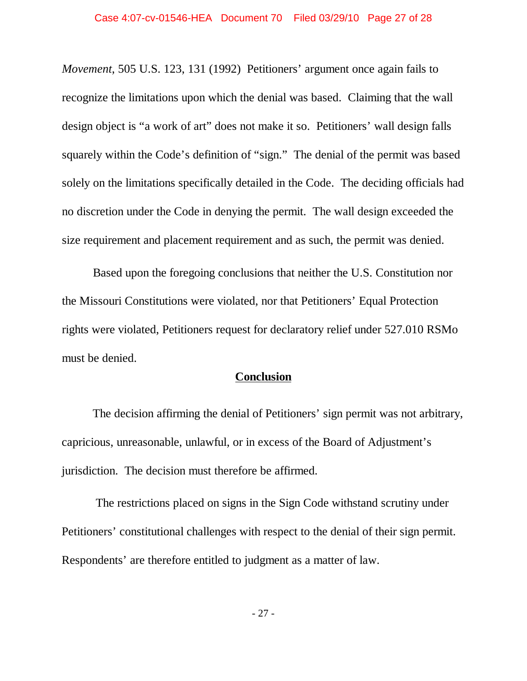*Movement*, 505 U.S. 123, 131 (1992) Petitioners' argument once again fails to recognize the limitations upon which the denial was based. Claiming that the wall design object is "a work of art" does not make it so. Petitioners' wall design falls squarely within the Code's definition of "sign." The denial of the permit was based solely on the limitations specifically detailed in the Code. The deciding officials had no discretion under the Code in denying the permit. The wall design exceeded the size requirement and placement requirement and as such, the permit was denied.

Based upon the foregoing conclusions that neither the U.S. Constitution nor the Missouri Constitutions were violated, nor that Petitioners' Equal Protection rights were violated, Petitioners request for declaratory relief under 527.010 RSMo must be denied.

## **Conclusion**

The decision affirming the denial of Petitioners' sign permit was not arbitrary, capricious, unreasonable, unlawful, or in excess of the Board of Adjustment's jurisdiction. The decision must therefore be affirmed.

The restrictions placed on signs in the Sign Code withstand scrutiny under Petitioners' constitutional challenges with respect to the denial of their sign permit. Respondents' are therefore entitled to judgment as a matter of law.